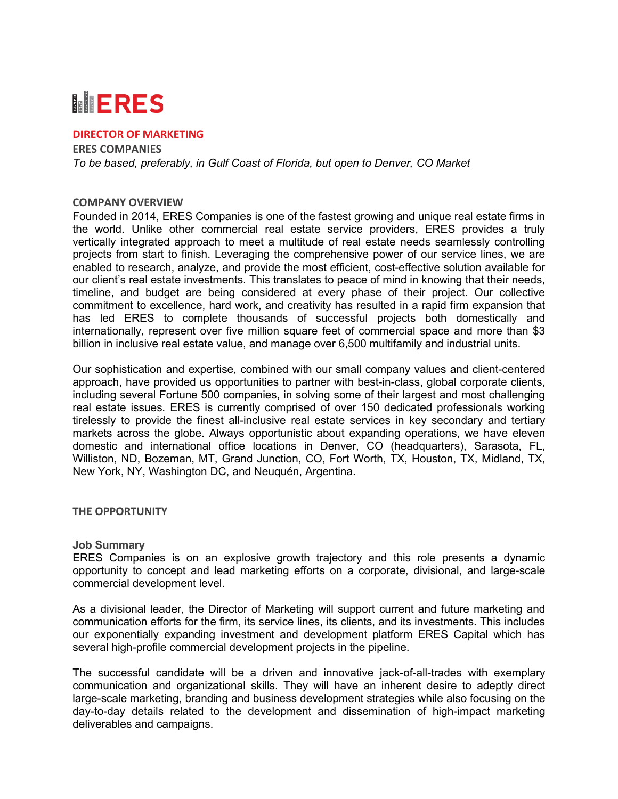# **MERES**

## **DIRECTOR OF MARKETING**

**ERES COMPANIES** *To be based, preferably, in Gulf Coast of Florida, but open to Denver, CO Market*

### **COMPANY OVERVIEW**

Founded in 2014, ERES Companies is one of the fastest growing and unique real estate firms in the world. Unlike other commercial real estate service providers, ERES provides a truly vertically integrated approach to meet a multitude of real estate needs seamlessly controlling projects from start to finish. Leveraging the comprehensive power of our service lines, we are enabled to research, analyze, and provide the most efficient, cost-effective solution available for our client's real estate investments. This translates to peace of mind in knowing that their needs, timeline, and budget are being considered at every phase of their project. Our collective commitment to excellence, hard work, and creativity has resulted in a rapid firm expansion that has led ERES to complete thousands of successful projects both domestically and internationally, represent over five million square feet of commercial space and more than \$3 billion in inclusive real estate value, and manage over 6,500 multifamily and industrial units.

Our sophistication and expertise, combined with our small company values and client-centered approach, have provided us opportunities to partner with best-in-class, global corporate clients, including several Fortune 500 companies, in solving some of their largest and most challenging real estate issues. ERES is currently comprised of over 150 dedicated professionals working tirelessly to provide the finest all-inclusive real estate services in key secondary and tertiary markets across the globe. Always opportunistic about expanding operations, we have eleven domestic and international office locations in Denver, CO (headquarters), Sarasota, FL, Williston, ND, Bozeman, MT, Grand Junction, CO, Fort Worth, TX, Houston, TX, Midland, TX, New York, NY, Washington DC, and Neuquén, Argentina.

### **THE OPPORTUNITY**

### **Job Summary**

ERES Companies is on an explosive growth trajectory and this role presents a dynamic opportunity to concept and lead marketing efforts on a corporate, divisional, and large-scale commercial development level.

As a divisional leader, the Director of Marketing will support current and future marketing and communication efforts for the firm, its service lines, its clients, and its investments. This includes our exponentially expanding investment and development platform ERES Capital which has several high-profile commercial development projects in the pipeline.

The successful candidate will be a driven and innovative jack-of-all-trades with exemplary communication and organizational skills. They will have an inherent desire to adeptly direct large-scale marketing, branding and business development strategies while also focusing on the day-to-day details related to the development and dissemination of high-impact marketing deliverables and campaigns.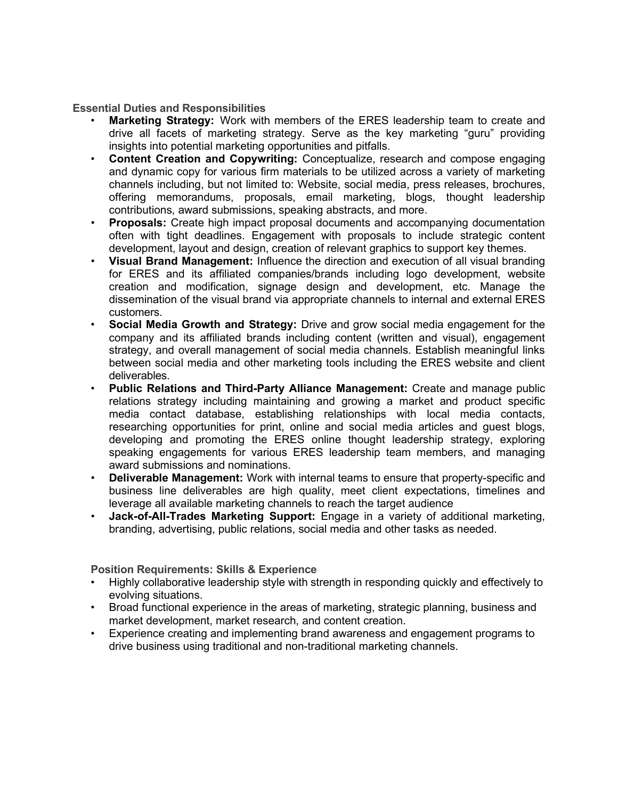**Essential Duties and Responsibilities**

- **Marketing Strategy:** Work with members of the ERES leadership team to create and drive all facets of marketing strategy. Serve as the key marketing "guru" providing insights into potential marketing opportunities and pitfalls.
- **Content Creation and Copywriting:** Conceptualize, research and compose engaging and dynamic copy for various firm materials to be utilized across a variety of marketing channels including, but not limited to: Website, social media, press releases, brochures, offering memorandums, proposals, email marketing, blogs, thought leadership contributions, award submissions, speaking abstracts, and more.
- **Proposals:** Create high impact proposal documents and accompanying documentation often with tight deadlines. Engagement with proposals to include strategic content development, layout and design, creation of relevant graphics to support key themes.
- **Visual Brand Management:** Influence the direction and execution of all visual branding for ERES and its affiliated companies/brands including logo development, website creation and modification, signage design and development, etc. Manage the dissemination of the visual brand via appropriate channels to internal and external ERES customers.
- **Social Media Growth and Strategy:** Drive and grow social media engagement for the company and its affiliated brands including content (written and visual), engagement strategy, and overall management of social media channels. Establish meaningful links between social media and other marketing tools including the ERES website and client deliverables.
- **Public Relations and Third-Party Alliance Management:** Create and manage public relations strategy including maintaining and growing a market and product specific media contact database, establishing relationships with local media contacts, researching opportunities for print, online and social media articles and guest blogs, developing and promoting the ERES online thought leadership strategy, exploring speaking engagements for various ERES leadership team members, and managing award submissions and nominations.
- **Deliverable Management:** Work with internal teams to ensure that property-specific and business line deliverables are high quality, meet client expectations, timelines and leverage all available marketing channels to reach the target audience
- **Jack-of-All-Trades Marketing Support:** Engage in a variety of additional marketing, branding, advertising, public relations, social media and other tasks as needed.

**Position Requirements: Skills & Experience**

- Highly collaborative leadership style with strength in responding quickly and effectively to evolving situations.
- Broad functional experience in the areas of marketing, strategic planning, business and market development, market research, and content creation.
- Experience creating and implementing brand awareness and engagement programs to drive business using traditional and non-traditional marketing channels.